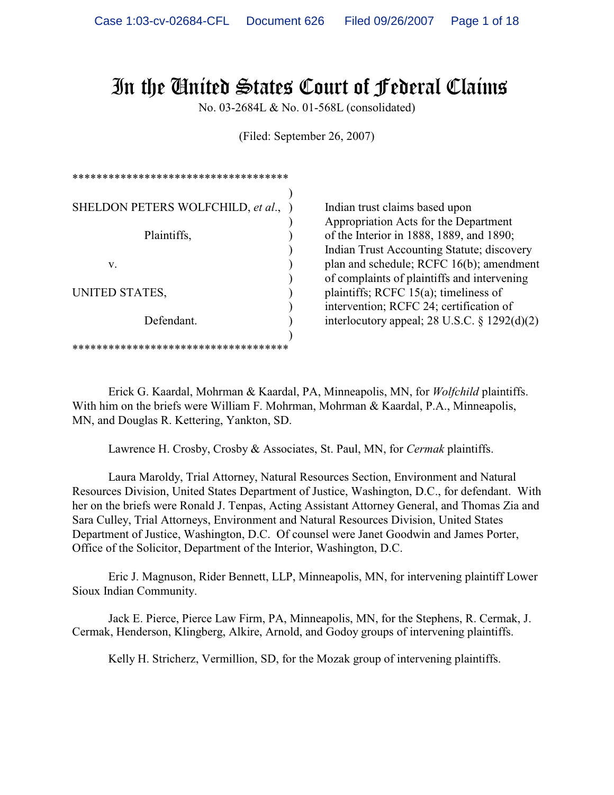# In the United States Court of Federal Claims

No. 03-2684L & No. 01-568L (consolidated)

(Filed: September 26, 2007)

| ************************************* |  |  |
|---------------------------------------|--|--|
| SHELDON PETERS WOLFCHILD, et al.,     |  |  |
| Plaintiffs,                           |  |  |
| V.                                    |  |  |
| UNITED STATES,                        |  |  |
| Defendant.                            |  |  |
| ************************************* |  |  |

Indian trust claims based upon ) Appropriation Acts for the Department of the Interior in 1888, 1889, and 1890; ) Indian Trust Accounting Statute; discovery plan and schedule; RCFC 16(b); amendment ) of complaints of plaintiffs and intervening plaintiffs; RCFC 15(a); timeliness of ) intervention; RCFC 24; certification of interlocutory appeal; 28 U.S.C.  $\S$  1292(d)(2)

Erick G. Kaardal, Mohrman & Kaardal, PA, Minneapolis, MN, for *Wolfchild* plaintiffs. With him on the briefs were William F. Mohrman, Mohrman & Kaardal, P.A., Minneapolis, MN, and Douglas R. Kettering, Yankton, SD.

Lawrence H. Crosby, Crosby & Associates, St. Paul, MN, for *Cermak* plaintiffs.

Laura Maroldy, Trial Attorney, Natural Resources Section, Environment and Natural Resources Division, United States Department of Justice, Washington, D.C., for defendant. With her on the briefs were Ronald J. Tenpas, Acting Assistant Attorney General, and Thomas Zia and Sara Culley, Trial Attorneys, Environment and Natural Resources Division, United States Department of Justice, Washington, D.C. Of counsel were Janet Goodwin and James Porter, Office of the Solicitor, Department of the Interior, Washington, D.C.

Eric J. Magnuson, Rider Bennett, LLP, Minneapolis, MN, for intervening plaintiff Lower Sioux Indian Community.

Jack E. Pierce, Pierce Law Firm, PA, Minneapolis, MN, for the Stephens, R. Cermak, J. Cermak, Henderson, Klingberg, Alkire, Arnold, and Godoy groups of intervening plaintiffs.

Kelly H. Stricherz, Vermillion, SD, for the Mozak group of intervening plaintiffs.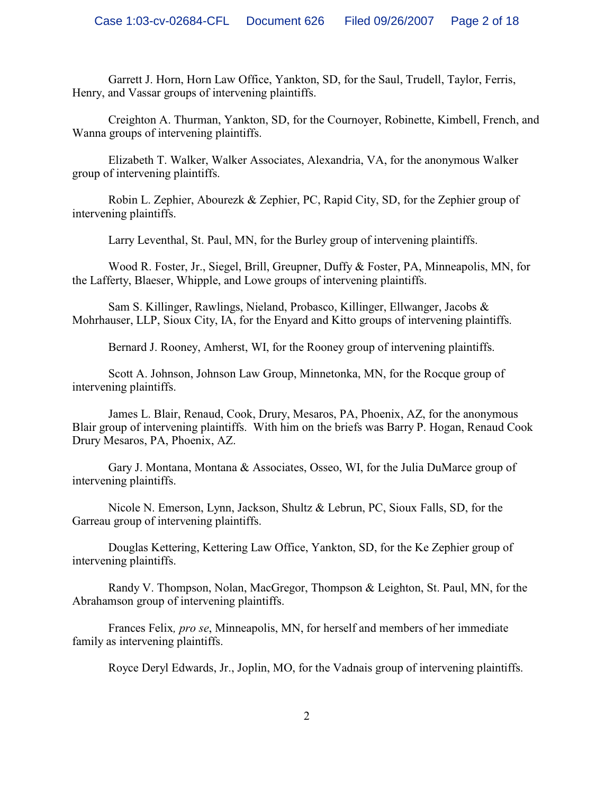Garrett J. Horn, Horn Law Office, Yankton, SD, for the Saul, Trudell, Taylor, Ferris, Henry, and Vassar groups of intervening plaintiffs.

Creighton A. Thurman, Yankton, SD, for the Cournoyer, Robinette, Kimbell, French, and Wanna groups of intervening plaintiffs.

Elizabeth T. Walker, Walker Associates, Alexandria, VA, for the anonymous Walker group of intervening plaintiffs.

Robin L. Zephier, Abourezk & Zephier, PC, Rapid City, SD, for the Zephier group of intervening plaintiffs.

Larry Leventhal, St. Paul, MN, for the Burley group of intervening plaintiffs.

Wood R. Foster, Jr., Siegel, Brill, Greupner, Duffy & Foster, PA, Minneapolis, MN, for the Lafferty, Blaeser, Whipple, and Lowe groups of intervening plaintiffs.

Sam S. Killinger, Rawlings, Nieland, Probasco, Killinger, Ellwanger, Jacobs & Mohrhauser, LLP, Sioux City, IA, for the Enyard and Kitto groups of intervening plaintiffs.

Bernard J. Rooney, Amherst, WI, for the Rooney group of intervening plaintiffs.

Scott A. Johnson, Johnson Law Group, Minnetonka, MN, for the Rocque group of intervening plaintiffs.

James L. Blair, Renaud, Cook, Drury, Mesaros, PA, Phoenix, AZ, for the anonymous Blair group of intervening plaintiffs. With him on the briefs was Barry P. Hogan, Renaud Cook Drury Mesaros, PA, Phoenix, AZ.

Gary J. Montana, Montana & Associates, Osseo, WI, for the Julia DuMarce group of intervening plaintiffs.

Nicole N. Emerson, Lynn, Jackson, Shultz & Lebrun, PC, Sioux Falls, SD, for the Garreau group of intervening plaintiffs.

Douglas Kettering, Kettering Law Office, Yankton, SD, for the Ke Zephier group of intervening plaintiffs.

Randy V. Thompson, Nolan, MacGregor, Thompson & Leighton, St. Paul, MN, for the Abrahamson group of intervening plaintiffs.

Frances Felix*, pro se*, Minneapolis, MN, for herself and members of her immediate family as intervening plaintiffs.

Royce Deryl Edwards, Jr., Joplin, MO, for the Vadnais group of intervening plaintiffs.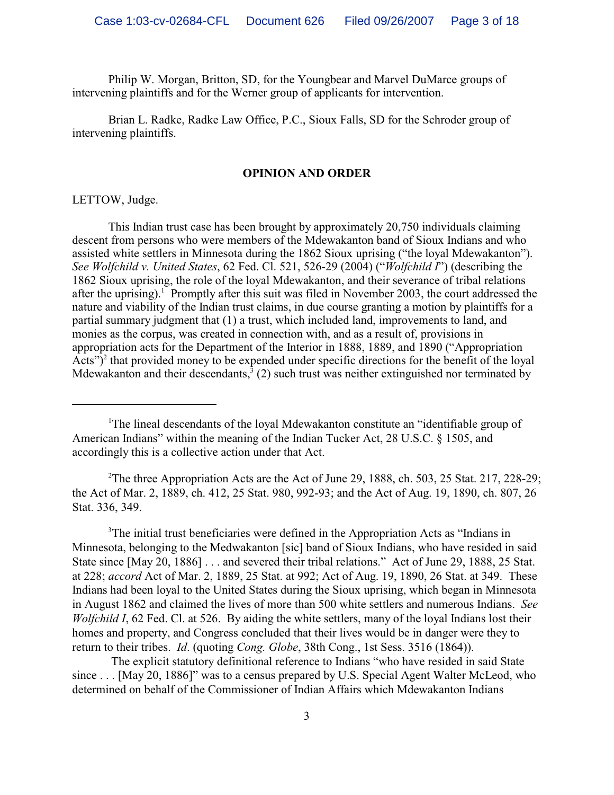Philip W. Morgan, Britton, SD, for the Youngbear and Marvel DuMarce groups of intervening plaintiffs and for the Werner group of applicants for intervention.

Brian L. Radke, Radke Law Office, P.C., Sioux Falls, SD for the Schroder group of intervening plaintiffs.

## **OPINION AND ORDER**

LETTOW, Judge.

This Indian trust case has been brought by approximately 20,750 individuals claiming descent from persons who were members of the Mdewakanton band of Sioux Indians and who assisted white settlers in Minnesota during the 1862 Sioux uprising ("the loyal Mdewakanton"). *See Wolfchild v. United States*, 62 Fed. Cl. 521, 526-29 (2004) ("*Wolfchild I*") (describing the 1862 Sioux uprising, the role of the loyal Mdewakanton, and their severance of tribal relations after the uprising).<sup>1</sup> Promptly after this suit was filed in November 2003, the court addressed the nature and viability of the Indian trust claims, in due course granting a motion by plaintiffs for a partial summary judgment that (1) a trust, which included land, improvements to land, and monies as the corpus, was created in connection with, and as a result of, provisions in appropriation acts for the Department of the Interior in 1888, 1889, and 1890 ("Appropriation Acts" $)^2$  that provided money to be expended under specific directions for the benefit of the loyal Mdewakanton and their descendants,  $(2)$  such trust was neither extinguished nor terminated by

<sup>2</sup>The three Appropriation Acts are the Act of June 29, 1888, ch. 503, 25 Stat. 217, 228-29; the Act of Mar. 2, 1889, ch. 412, 25 Stat. 980, 992-93; and the Act of Aug. 19, 1890, ch. 807, 26 Stat. 336, 349.

 $3$ The initial trust beneficiaries were defined in the Appropriation Acts as "Indians in Minnesota, belonging to the Medwakanton [sic] band of Sioux Indians, who have resided in said State since [May 20, 1886] . . . and severed their tribal relations." Act of June 29, 1888, 25 Stat. at 228; *accord* Act of Mar. 2, 1889, 25 Stat. at 992; Act of Aug. 19, 1890, 26 Stat. at 349. These Indians had been loyal to the United States during the Sioux uprising, which began in Minnesota in August 1862 and claimed the lives of more than 500 white settlers and numerous Indians. *See Wolfchild I*, 62 Fed. Cl. at 526. By aiding the white settlers, many of the loyal Indians lost their homes and property, and Congress concluded that their lives would be in danger were they to return to their tribes. *Id*. (quoting *Cong. Globe*, 38th Cong., 1st Sess. 3516 (1864)).

 The explicit statutory definitional reference to Indians "who have resided in said State since . . . [May 20, 1886]" was to a census prepared by U.S. Special Agent Walter McLeod, who determined on behalf of the Commissioner of Indian Affairs which Mdewakanton Indians

<sup>&</sup>lt;sup>1</sup>The lineal descendants of the loyal Mdewakanton constitute an "identifiable group of American Indians" within the meaning of the Indian Tucker Act, 28 U.S.C. § 1505, and accordingly this is a collective action under that Act.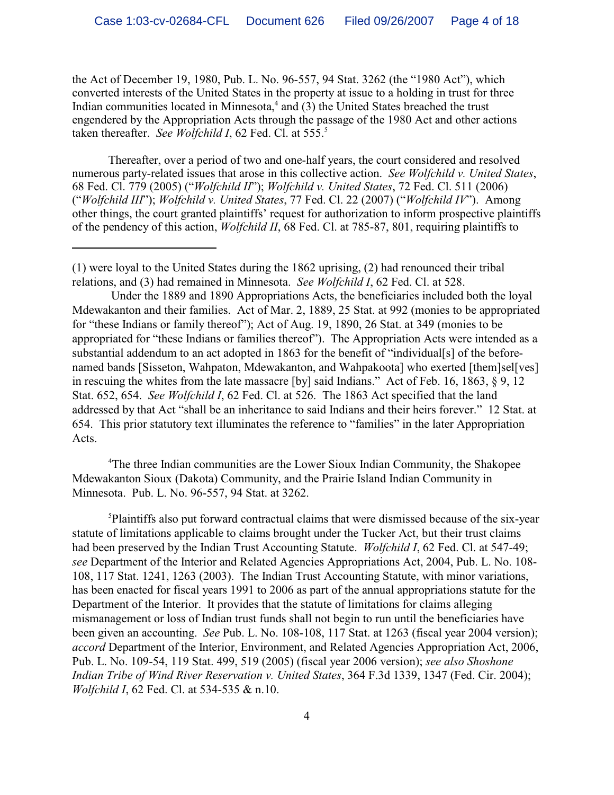the Act of December 19, 1980, Pub. L. No. 96-557, 94 Stat. 3262 (the "1980 Act"), which converted interests of the United States in the property at issue to a holding in trust for three Indian communities located in Minnesota, $4$  and (3) the United States breached the trust engendered by the Appropriation Acts through the passage of the 1980 Act and other actions taken thereafter. *See Wolfchild I*, 62 Fed. Cl. at 555.<sup>5</sup>

Thereafter, over a period of two and one-half years, the court considered and resolved numerous party-related issues that arose in this collective action. *See Wolfchild v. United States*, 68 Fed. Cl. 779 (2005) ("*Wolfchild II*"); *Wolfchild v. United States*, 72 Fed. Cl. 511 (2006) ("*Wolfchild III*"); *Wolfchild v. United States*, 77 Fed. Cl. 22 (2007) ("*Wolfchild IV*"). Among other things, the court granted plaintiffs' request for authorization to inform prospective plaintiffs of the pendency of this action, *Wolfchild II*, 68 Fed. Cl. at 785-87, 801, requiring plaintiffs to

 Under the 1889 and 1890 Appropriations Acts, the beneficiaries included both the loyal Mdewakanton and their families. Act of Mar. 2, 1889, 25 Stat. at 992 (monies to be appropriated for "these Indians or family thereof"); Act of Aug. 19, 1890, 26 Stat. at 349 (monies to be appropriated for "these Indians or families thereof"). The Appropriation Acts were intended as a substantial addendum to an act adopted in 1863 for the benefit of "individual[s] of the beforenamed bands [Sisseton, Wahpaton, Mdewakanton, and Wahpakoota] who exerted [them]sel[ves] in rescuing the whites from the late massacre [by] said Indians." Act of Feb. 16, 1863, § 9, 12 Stat. 652, 654. *See Wolfchild I*, 62 Fed. Cl. at 526. The 1863 Act specified that the land addressed by that Act "shall be an inheritance to said Indians and their heirs forever." 12 Stat. at 654. This prior statutory text illuminates the reference to "families" in the later Appropriation Acts.

<sup>4</sup>The three Indian communities are the Lower Sioux Indian Community, the Shakopee Mdewakanton Sioux (Dakota) Community, and the Prairie Island Indian Community in Minnesota. Pub. L. No. 96-557, 94 Stat. at 3262.

<sup>5</sup>Plaintiffs also put forward contractual claims that were dismissed because of the six-year statute of limitations applicable to claims brought under the Tucker Act, but their trust claims had been preserved by the Indian Trust Accounting Statute. *Wolfchild I*, 62 Fed. Cl. at 547-49; *see* Department of the Interior and Related Agencies Appropriations Act, 2004, Pub. L. No. 108- 108, 117 Stat. 1241, 1263 (2003). The Indian Trust Accounting Statute, with minor variations, has been enacted for fiscal years 1991 to 2006 as part of the annual appropriations statute for the Department of the Interior. It provides that the statute of limitations for claims alleging mismanagement or loss of Indian trust funds shall not begin to run until the beneficiaries have been given an accounting. *See* Pub. L. No. 108-108, 117 Stat. at 1263 (fiscal year 2004 version); *accord* Department of the Interior, Environment, and Related Agencies Appropriation Act, 2006, Pub. L. No. 109-54, 119 Stat. 499, 519 (2005) (fiscal year 2006 version); *see also Shoshone Indian Tribe of Wind River Reservation v. United States*, 364 F.3d 1339, 1347 (Fed. Cir. 2004); *Wolfchild I*, 62 Fed. Cl. at 534-535 & n.10.

<sup>(1)</sup> were loyal to the United States during the 1862 uprising, (2) had renounced their tribal relations, and (3) had remained in Minnesota. *See Wolfchild I*, 62 Fed. Cl. at 528.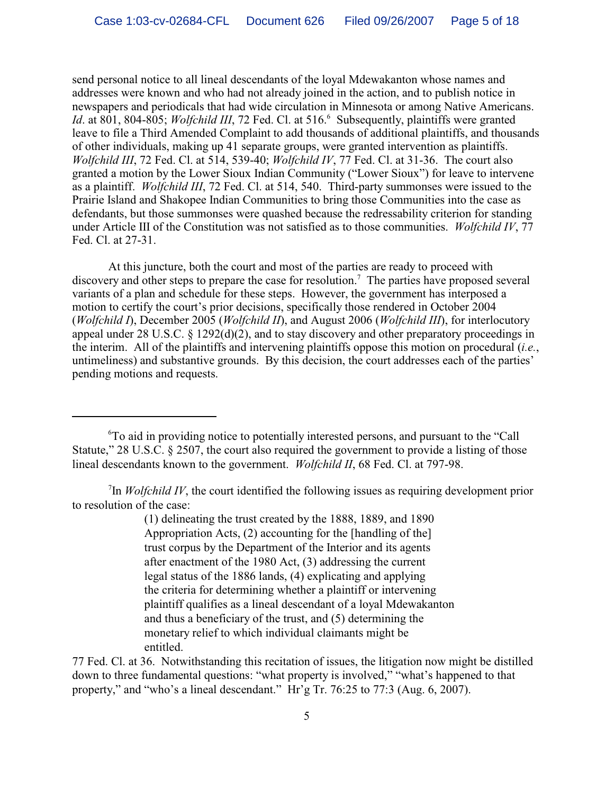send personal notice to all lineal descendants of the loyal Mdewakanton whose names and addresses were known and who had not already joined in the action, and to publish notice in newspapers and periodicals that had wide circulation in Minnesota or among Native Americans. Id. at 801, 804-805; *Wolfchild III*, 72 Fed. Cl. at 516.<sup>6</sup> Subsequently, plaintiffs were granted leave to file a Third Amended Complaint to add thousands of additional plaintiffs, and thousands of other individuals, making up 41 separate groups, were granted intervention as plaintiffs. *Wolfchild III*, 72 Fed. Cl. at 514, 539-40; *Wolfchild IV*, 77 Fed. Cl. at 31-36. The court also granted a motion by the Lower Sioux Indian Community ("Lower Sioux") for leave to intervene as a plaintiff. *Wolfchild III*, 72 Fed. Cl. at 514, 540. Third-party summonses were issued to the Prairie Island and Shakopee Indian Communities to bring those Communities into the case as defendants, but those summonses were quashed because the redressability criterion for standing under Article III of the Constitution was not satisfied as to those communities. *Wolfchild IV*, 77 Fed. Cl. at 27-31.

At this juncture, both the court and most of the parties are ready to proceed with discovery and other steps to prepare the case for resolution.<sup>7</sup> The parties have proposed several variants of a plan and schedule for these steps. However, the government has interposed a motion to certify the court's prior decisions, specifically those rendered in October 2004 (*Wolfchild I*), December 2005 (*Wolfchild II*), and August 2006 (*Wolfchild III*), for interlocutory appeal under 28 U.S.C. § 1292(d)(2), and to stay discovery and other preparatory proceedings in the interim. All of the plaintiffs and intervening plaintiffs oppose this motion on procedural (*i.e.*, untimeliness) and substantive grounds. By this decision, the court addresses each of the parties' pending motions and requests.

To aid in providing notice to potentially interested persons, and pursuant to the "Call <sup>6</sup> Statute," 28 U.S.C. § 2507, the court also required the government to provide a listing of those lineal descendants known to the government. *Wolfchild II*, 68 Fed. Cl. at 797-98.

<sup>7</sup>In *Wolfchild IV*, the court identified the following issues as requiring development prior to resolution of the case:

> (1) delineating the trust created by the 1888, 1889, and 1890 Appropriation Acts, (2) accounting for the [handling of the] trust corpus by the Department of the Interior and its agents after enactment of the 1980 Act, (3) addressing the current legal status of the 1886 lands, (4) explicating and applying the criteria for determining whether a plaintiff or intervening plaintiff qualifies as a lineal descendant of a loyal Mdewakanton and thus a beneficiary of the trust, and (5) determining the monetary relief to which individual claimants might be entitled.

77 Fed. Cl. at 36. Notwithstanding this recitation of issues, the litigation now might be distilled down to three fundamental questions: "what property is involved," "what's happened to that property," and "who's a lineal descendant." Hr'g Tr. 76:25 to 77:3 (Aug. 6, 2007).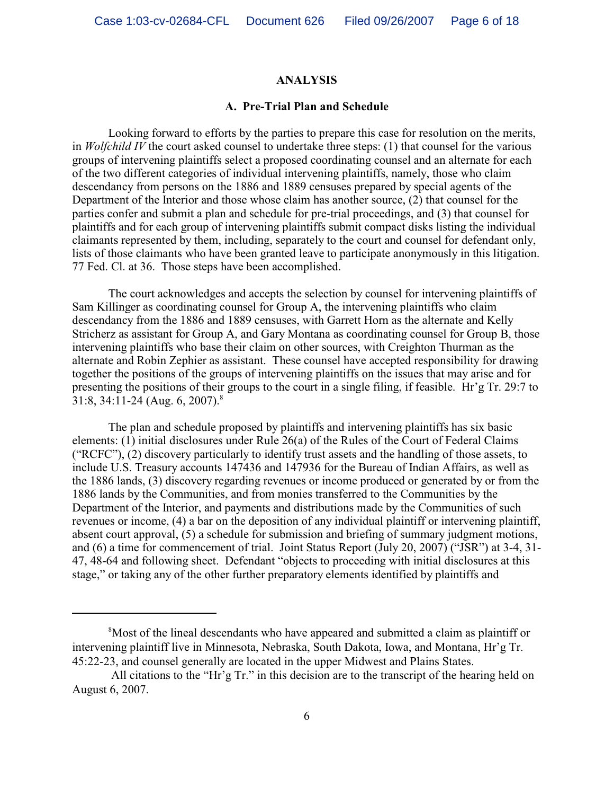#### **ANALYSIS**

#### **A. Pre-Trial Plan and Schedule**

Looking forward to efforts by the parties to prepare this case for resolution on the merits, in *Wolfchild IV* the court asked counsel to undertake three steps: (1) that counsel for the various groups of intervening plaintiffs select a proposed coordinating counsel and an alternate for each of the two different categories of individual intervening plaintiffs, namely, those who claim descendancy from persons on the 1886 and 1889 censuses prepared by special agents of the Department of the Interior and those whose claim has another source, (2) that counsel for the parties confer and submit a plan and schedule for pre-trial proceedings, and (3) that counsel for plaintiffs and for each group of intervening plaintiffs submit compact disks listing the individual claimants represented by them, including, separately to the court and counsel for defendant only, lists of those claimants who have been granted leave to participate anonymously in this litigation. 77 Fed. Cl. at 36. Those steps have been accomplished.

The court acknowledges and accepts the selection by counsel for intervening plaintiffs of Sam Killinger as coordinating counsel for Group A, the intervening plaintiffs who claim descendancy from the 1886 and 1889 censuses, with Garrett Horn as the alternate and Kelly Stricherz as assistant for Group A, and Gary Montana as coordinating counsel for Group B, those intervening plaintiffs who base their claim on other sources, with Creighton Thurman as the alternate and Robin Zephier as assistant. These counsel have accepted responsibility for drawing together the positions of the groups of intervening plaintiffs on the issues that may arise and for presenting the positions of their groups to the court in a single filing, if feasible. Hr'g Tr. 29:7 to 31:8, 34:11-24 (Aug. 6, 2007).<sup>8</sup>

The plan and schedule proposed by plaintiffs and intervening plaintiffs has six basic elements: (1) initial disclosures under Rule 26(a) of the Rules of the Court of Federal Claims ("RCFC"), (2) discovery particularly to identify trust assets and the handling of those assets, to include U.S. Treasury accounts 147436 and 147936 for the Bureau of Indian Affairs, as well as the 1886 lands, (3) discovery regarding revenues or income produced or generated by or from the 1886 lands by the Communities, and from monies transferred to the Communities by the Department of the Interior, and payments and distributions made by the Communities of such revenues or income, (4) a bar on the deposition of any individual plaintiff or intervening plaintiff, absent court approval, (5) a schedule for submission and briefing of summary judgment motions, and (6) a time for commencement of trial. Joint Status Report (July 20, 2007) ("JSR") at 3-4, 31- 47, 48-64 and following sheet. Defendant "objects to proceeding with initial disclosures at this stage," or taking any of the other further preparatory elements identified by plaintiffs and

<sup>&</sup>lt;sup>8</sup>Most of the lineal descendants who have appeared and submitted a claim as plaintiff or intervening plaintiff live in Minnesota, Nebraska, South Dakota, Iowa, and Montana, Hr'g Tr. 45:22-23, and counsel generally are located in the upper Midwest and Plains States.

All citations to the "Hr'g Tr." in this decision are to the transcript of the hearing held on August 6, 2007.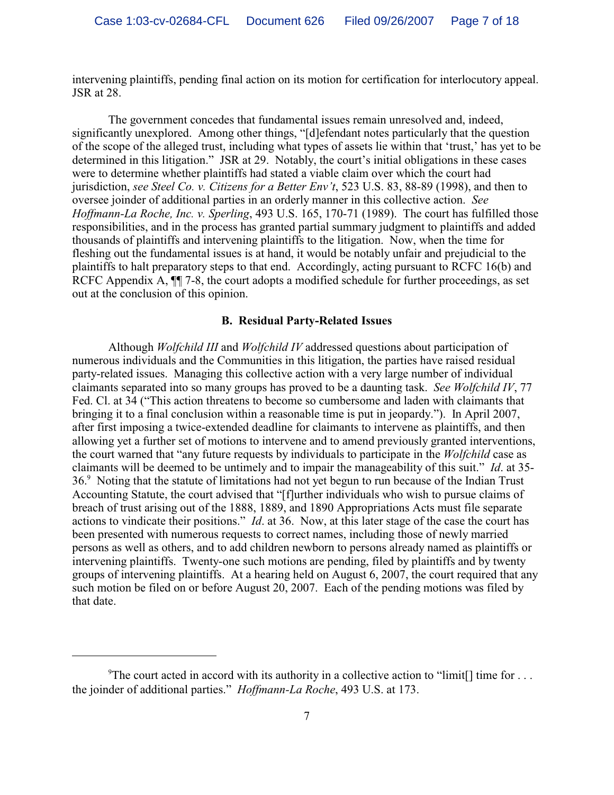intervening plaintiffs, pending final action on its motion for certification for interlocutory appeal. JSR at 28.

The government concedes that fundamental issues remain unresolved and, indeed, significantly unexplored. Among other things, "[d]efendant notes particularly that the question of the scope of the alleged trust, including what types of assets lie within that 'trust,' has yet to be determined in this litigation." JSR at 29. Notably, the court's initial obligations in these cases were to determine whether plaintiffs had stated a viable claim over which the court had jurisdiction, *see Steel Co. v. Citizens for a Better Env't*, 523 U.S. 83, 88-89 (1998), and then to oversee joinder of additional parties in an orderly manner in this collective action. *See Hoffmann-La Roche, Inc. v. Sperling*, 493 U.S. 165, 170-71 (1989). The court has fulfilled those responsibilities, and in the process has granted partial summary judgment to plaintiffs and added thousands of plaintiffs and intervening plaintiffs to the litigation. Now, when the time for fleshing out the fundamental issues is at hand, it would be notably unfair and prejudicial to the plaintiffs to halt preparatory steps to that end. Accordingly, acting pursuant to RCFC 16(b) and RCFC Appendix A,  $\P$  7-8, the court adopts a modified schedule for further proceedings, as set out at the conclusion of this opinion.

## **B. Residual Party-Related Issues**

Although *Wolfchild III* and *Wolfchild IV* addressed questions about participation of numerous individuals and the Communities in this litigation, the parties have raised residual party-related issues. Managing this collective action with a very large number of individual claimants separated into so many groups has proved to be a daunting task. *See Wolfchild IV*, 77 Fed. Cl. at 34 ("This action threatens to become so cumbersome and laden with claimants that bringing it to a final conclusion within a reasonable time is put in jeopardy."). In April 2007, after first imposing a twice-extended deadline for claimants to intervene as plaintiffs, and then allowing yet a further set of motions to intervene and to amend previously granted interventions, the court warned that "any future requests by individuals to participate in the *Wolfchild* case as claimants will be deemed to be untimely and to impair the manageability of this suit." *Id*. at 35- 36.<sup>9</sup> Noting that the statute of limitations had not yet begun to run because of the Indian Trust Accounting Statute, the court advised that "[f]urther individuals who wish to pursue claims of breach of trust arising out of the 1888, 1889, and 1890 Appropriations Acts must file separate actions to vindicate their positions." *Id*. at 36. Now, at this later stage of the case the court has been presented with numerous requests to correct names, including those of newly married persons as well as others, and to add children newborn to persons already named as plaintiffs or intervening plaintiffs. Twenty-one such motions are pending, filed by plaintiffs and by twenty groups of intervening plaintiffs. At a hearing held on August 6, 2007, the court required that any such motion be filed on or before August 20, 2007. Each of the pending motions was filed by that date.

<sup>&</sup>lt;sup>9</sup>The court acted in accord with its authority in a collective action to "limit<sup>[]</sup> time for ... the joinder of additional parties." *Hoffmann-La Roche*, 493 U.S. at 173.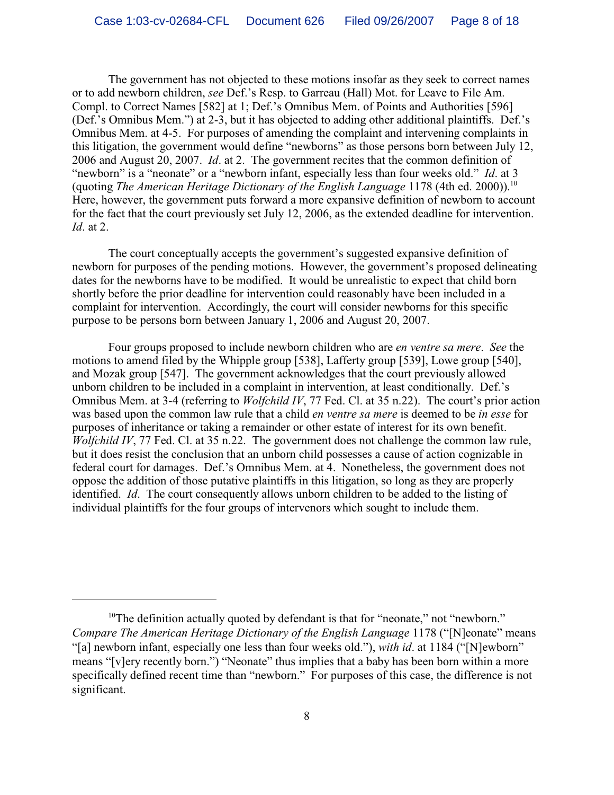The government has not objected to these motions insofar as they seek to correct names or to add newborn children, *see* Def.'s Resp. to Garreau (Hall) Mot. for Leave to File Am. Compl. to Correct Names [582] at 1; Def.'s Omnibus Mem. of Points and Authorities [596] (Def.'s Omnibus Mem.") at 2-3, but it has objected to adding other additional plaintiffs. Def.'s Omnibus Mem. at 4-5. For purposes of amending the complaint and intervening complaints in this litigation, the government would define "newborns" as those persons born between July 12, 2006 and August 20, 2007. *Id*. at 2. The government recites that the common definition of "newborn" is a "neonate" or a "newborn infant, especially less than four weeks old." *Id*. at 3 (quoting *The American Heritage Dictionary of the English Language* 1178 (4th ed. 2000)). 10 Here, however, the government puts forward a more expansive definition of newborn to account for the fact that the court previously set July 12, 2006, as the extended deadline for intervention. *Id*. at 2.

The court conceptually accepts the government's suggested expansive definition of newborn for purposes of the pending motions. However, the government's proposed delineating dates for the newborns have to be modified. It would be unrealistic to expect that child born shortly before the prior deadline for intervention could reasonably have been included in a complaint for intervention. Accordingly, the court will consider newborns for this specific purpose to be persons born between January 1, 2006 and August 20, 2007.

Four groups proposed to include newborn children who are *en ventre sa mere*. *See* the motions to amend filed by the Whipple group [538], Lafferty group [539], Lowe group [540], and Mozak group [547]. The government acknowledges that the court previously allowed unborn children to be included in a complaint in intervention, at least conditionally. Def.'s Omnibus Mem. at 3-4 (referring to *Wolfchild IV*, 77 Fed. Cl. at 35 n.22). The court's prior action was based upon the common law rule that a child *en ventre sa mere* is deemed to be *in esse* for purposes of inheritance or taking a remainder or other estate of interest for its own benefit. *Wolfchild IV*, 77 Fed. Cl. at 35 n.22. The government does not challenge the common law rule, but it does resist the conclusion that an unborn child possesses a cause of action cognizable in federal court for damages. Def.'s Omnibus Mem. at 4. Nonetheless, the government does not oppose the addition of those putative plaintiffs in this litigation, so long as they are properly identified. *Id*. The court consequently allows unborn children to be added to the listing of individual plaintiffs for the four groups of intervenors which sought to include them.

 $10$ <sup>10</sup>The definition actually quoted by defendant is that for "neonate," not "newborn." *Compare The American Heritage Dictionary of the English Language* 1178 ("[N]eonate" means "[a] newborn infant, especially one less than four weeks old."), *with id*. at 1184 ("[N]ewborn" means "[v]ery recently born.") "Neonate" thus implies that a baby has been born within a more specifically defined recent time than "newborn." For purposes of this case, the difference is not significant.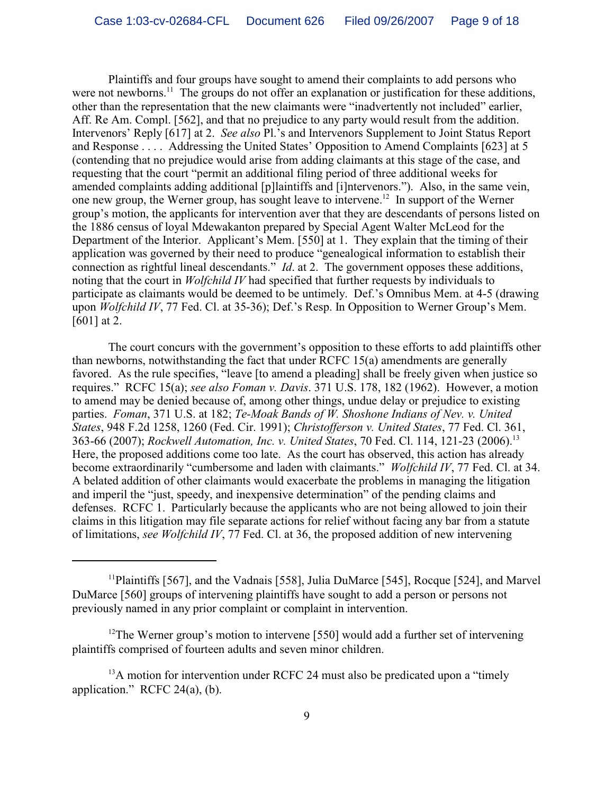Plaintiffs and four groups have sought to amend their complaints to add persons who were not newborns.<sup>11</sup> The groups do not offer an explanation or justification for these additions, other than the representation that the new claimants were "inadvertently not included" earlier, Aff. Re Am. Compl. [562], and that no prejudice to any party would result from the addition. Intervenors' Reply [617] at 2. *See also* Pl.'s and Intervenors Supplement to Joint Status Report and Response . . . . Addressing the United States' Opposition to Amend Complaints [623] at 5 (contending that no prejudice would arise from adding claimants at this stage of the case, and requesting that the court "permit an additional filing period of three additional weeks for amended complaints adding additional [p]laintiffs and [i]ntervenors."). Also, in the same vein, one new group, the Werner group, has sought leave to intervene.<sup>12</sup> In support of the Werner group's motion, the applicants for intervention aver that they are descendants of persons listed on the 1886 census of loyal Mdewakanton prepared by Special Agent Walter McLeod for the Department of the Interior. Applicant's Mem. [550] at 1. They explain that the timing of their application was governed by their need to produce "genealogical information to establish their connection as rightful lineal descendants." *Id*. at 2.The government opposes these additions, noting that the court in *Wolfchild IV* had specified that further requests by individuals to participate as claimants would be deemed to be untimely. Def.'s Omnibus Mem. at 4-5 (drawing upon *Wolfchild IV*, 77 Fed. Cl. at 35-36); Def.'s Resp. In Opposition to Werner Group's Mem. [601] at 2.

The court concurs with the government's opposition to these efforts to add plaintiffs other than newborns, notwithstanding the fact that under RCFC 15(a) amendments are generally favored. As the rule specifies, "leave [to amend a pleading] shall be freely given when justice so requires." RCFC 15(a); *see also Foman v. Davis*. 371 U.S. 178, 182 (1962). However, a motion to amend may be denied because of, among other things, undue delay or prejudice to existing parties. *Foman*, 371 U.S. at 182; *Te-Moak Bands of W. Shoshone Indians of Nev. v. United States*, 948 F.2d 1258, 1260 (Fed. Cir. 1991); *Christofferson v. United States*, 77 Fed. Cl. 361, 363-66 (2007); *Rockwell Automation, Inc. v. United States*, 70 Fed. Cl. 114, 121-23 (2006). 13 Here, the proposed additions come too late. As the court has observed, this action has already become extraordinarily "cumbersome and laden with claimants." *Wolfchild IV*, 77 Fed. Cl. at 34. A belated addition of other claimants would exacerbate the problems in managing the litigation and imperil the "just, speedy, and inexpensive determination" of the pending claims and defenses. RCFC 1. Particularly because the applicants who are not being allowed to join their claims in this litigation may file separate actions for relief without facing any bar from a statute of limitations, *see Wolfchild IV*, 77 Fed. Cl. at 36, the proposed addition of new intervening

<sup>&</sup>lt;sup>11</sup>Plaintiffs [567], and the Vadnais [558], Julia DuMarce [545], Rocque [524], and Marvel DuMarce [560] groups of intervening plaintiffs have sought to add a person or persons not previously named in any prior complaint or complaint in intervention.

<sup>&</sup>lt;sup>12</sup>The Werner group's motion to intervene [550] would add a further set of intervening plaintiffs comprised of fourteen adults and seven minor children.

 $^{13}$ A motion for intervention under RCFC 24 must also be predicated upon a "timely" application." RCFC 24(a), (b).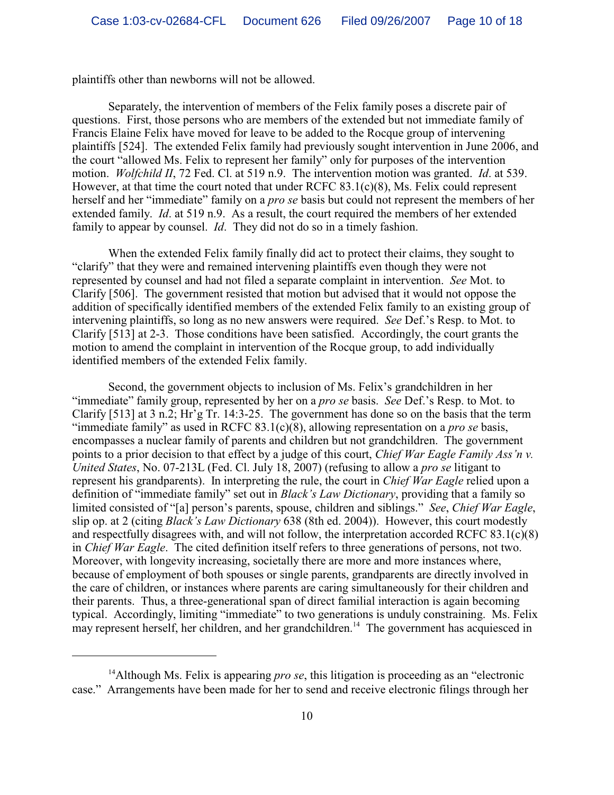plaintiffs other than newborns will not be allowed.

Separately, the intervention of members of the Felix family poses a discrete pair of questions. First, those persons who are members of the extended but not immediate family of Francis Elaine Felix have moved for leave to be added to the Rocque group of intervening plaintiffs [524]. The extended Felix family had previously sought intervention in June 2006, and the court "allowed Ms. Felix to represent her family" only for purposes of the intervention motion. *Wolfchild II*, 72 Fed. Cl. at 519 n.9. The intervention motion was granted. *Id*. at 539. However, at that time the court noted that under RCFC 83.1(c)(8), Ms. Felix could represent herself and her "immediate" family on a *pro se* basis but could not represent the members of her extended family. *Id*. at 519 n.9. As a result, the court required the members of her extended family to appear by counsel. *Id*. They did not do so in a timely fashion.

When the extended Felix family finally did act to protect their claims, they sought to "clarify" that they were and remained intervening plaintiffs even though they were not represented by counsel and had not filed a separate complaint in intervention. *See* Mot. to Clarify [506]. The government resisted that motion but advised that it would not oppose the addition of specifically identified members of the extended Felix family to an existing group of intervening plaintiffs, so long as no new answers were required. *See* Def.'s Resp. to Mot. to Clarify [513] at 2-3. Those conditions have been satisfied. Accordingly, the court grants the motion to amend the complaint in intervention of the Rocque group, to add individually identified members of the extended Felix family.

Second, the government objects to inclusion of Ms. Felix's grandchildren in her "immediate" family group, represented by her on a *pro se* basis. *See* Def.'s Resp. to Mot. to Clarify [513] at 3 n.2; Hr'g Tr. 14:3-25. The government has done so on the basis that the term "immediate family" as used in RCFC 83.1(c)(8), allowing representation on a *pro se* basis, encompasses a nuclear family of parents and children but not grandchildren. The government points to a prior decision to that effect by a judge of this court, *Chief War Eagle Family Ass'n v. United States*, No. 07-213L (Fed. Cl. July 18, 2007) (refusing to allow a *pro se* litigant to represent his grandparents). In interpreting the rule, the court in *Chief War Eagle* relied upon a definition of "immediate family" set out in *Black's Law Dictionary*, providing that a family so limited consisted of "[a] person's parents, spouse, children and siblings." *See*, *Chief War Eagle*, slip op. at 2 (citing *Black's Law Dictionary* 638 (8th ed. 2004)). However, this court modestly and respectfully disagrees with, and will not follow, the interpretation accorded RCFC 83.1(c)(8) in *Chief War Eagle*. The cited definition itself refers to three generations of persons, not two. Moreover, with longevity increasing, societally there are more and more instances where, because of employment of both spouses or single parents, grandparents are directly involved in the care of children, or instances where parents are caring simultaneously for their children and their parents. Thus, a three-generational span of direct familial interaction is again becoming typical. Accordingly, limiting "immediate" to two generations is unduly constraining. Ms. Felix may represent herself, her children, and her grandchildren.<sup>14</sup> The government has acquiesced in

<sup>&</sup>lt;sup>14</sup> Although Ms. Felix is appearing *pro se*, this litigation is proceeding as an "electronic" case." Arrangements have been made for her to send and receive electronic filings through her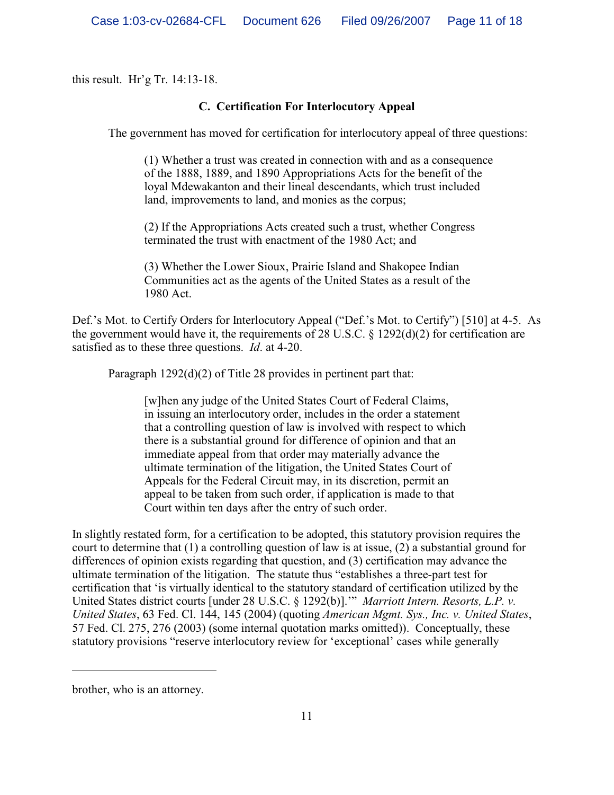this result. Hr'g Tr. 14:13-18.

## **C. Certification For Interlocutory Appeal**

The government has moved for certification for interlocutory appeal of three questions:

(1) Whether a trust was created in connection with and as a consequence of the 1888, 1889, and 1890 Appropriations Acts for the benefit of the loyal Mdewakanton and their lineal descendants, which trust included land, improvements to land, and monies as the corpus;

(2) If the Appropriations Acts created such a trust, whether Congress terminated the trust with enactment of the 1980 Act; and

(3) Whether the Lower Sioux, Prairie Island and Shakopee Indian Communities act as the agents of the United States as a result of the 1980 Act.

Def.'s Mot. to Certify Orders for Interlocutory Appeal ("Def.'s Mot. to Certify") [510] at 4-5. As the government would have it, the requirements of 28 U.S.C.  $\S$  1292(d)(2) for certification are satisfied as to these three questions. *Id*. at 4-20.

Paragraph 1292(d)(2) of Title 28 provides in pertinent part that:

[w]hen any judge of the United States Court of Federal Claims, in issuing an interlocutory order, includes in the order a statement that a controlling question of law is involved with respect to which there is a substantial ground for difference of opinion and that an immediate appeal from that order may materially advance the ultimate termination of the litigation, the United States Court of Appeals for the Federal Circuit may, in its discretion, permit an appeal to be taken from such order, if application is made to that Court within ten days after the entry of such order.

In slightly restated form, for a certification to be adopted, this statutory provision requires the court to determine that (1) a controlling question of law is at issue, (2) a substantial ground for differences of opinion exists regarding that question, and (3) certification may advance the ultimate termination of the litigation. The statute thus "establishes a three-part test for certification that 'is virtually identical to the statutory standard of certification utilized by the United States district courts [under 28 U.S.C. § 1292(b)].'" *Marriott Intern. Resorts, L.P. v. United States*, 63 Fed. Cl. 144, 145 (2004) (quoting *American Mgmt. Sys., Inc. v. United States*, 57 Fed. Cl. 275, 276 (2003) (some internal quotation marks omitted)). Conceptually, these statutory provisions "reserve interlocutory review for 'exceptional' cases while generally

brother, who is an attorney.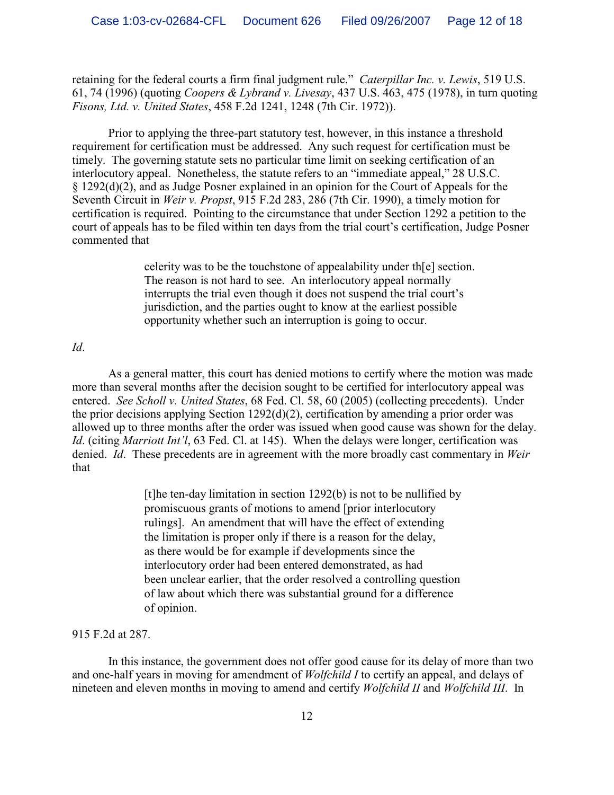retaining for the federal courts a firm final judgment rule." *Caterpillar Inc. v. Lewis*, 519 U.S. 61, 74 (1996) (quoting *Coopers & Lybrand v. Livesay*, 437 U.S. 463, 475 (1978), in turn quoting *Fisons, Ltd. v. United States*, 458 F.2d 1241, 1248 (7th Cir. 1972)).

Prior to applying the three-part statutory test, however, in this instance a threshold requirement for certification must be addressed. Any such request for certification must be timely. The governing statute sets no particular time limit on seeking certification of an interlocutory appeal. Nonetheless, the statute refers to an "immediate appeal," 28 U.S.C. § 1292(d)(2), and as Judge Posner explained in an opinion for the Court of Appeals for the Seventh Circuit in *Weir v. Propst*, 915 F.2d 283, 286 (7th Cir. 1990), a timely motion for certification is required. Pointing to the circumstance that under Section 1292 a petition to the court of appeals has to be filed within ten days from the trial court's certification, Judge Posner commented that

> celerity was to be the touchstone of appealability under th[e] section. The reason is not hard to see. An interlocutory appeal normally interrupts the trial even though it does not suspend the trial court's jurisdiction, and the parties ought to know at the earliest possible opportunity whether such an interruption is going to occur.

#### *Id*.

As a general matter, this court has denied motions to certify where the motion was made more than several months after the decision sought to be certified for interlocutory appeal was entered. *See Scholl v. United States*, 68 Fed. Cl. 58, 60 (2005) (collecting precedents). Under the prior decisions applying Section 1292(d)(2), certification by amending a prior order was allowed up to three months after the order was issued when good cause was shown for the delay. *Id*. (citing *Marriott Int'l*, 63 Fed. Cl. at 145). When the delays were longer, certification was denied. *Id*. These precedents are in agreement with the more broadly cast commentary in *Weir* that

> [t]he ten-day limitation in section 1292(b) is not to be nullified by promiscuous grants of motions to amend [prior interlocutory rulings]. An amendment that will have the effect of extending the limitation is proper only if there is a reason for the delay, as there would be for example if developments since the interlocutory order had been entered demonstrated, as had been unclear earlier, that the order resolved a controlling question of law about which there was substantial ground for a difference of opinion.

### 915 F.2d at 287.

In this instance, the government does not offer good cause for its delay of more than two and one-half years in moving for amendment of *Wolfchild I* to certify an appeal, and delays of nineteen and eleven months in moving to amend and certify *Wolfchild II* and *Wolfchild III*. In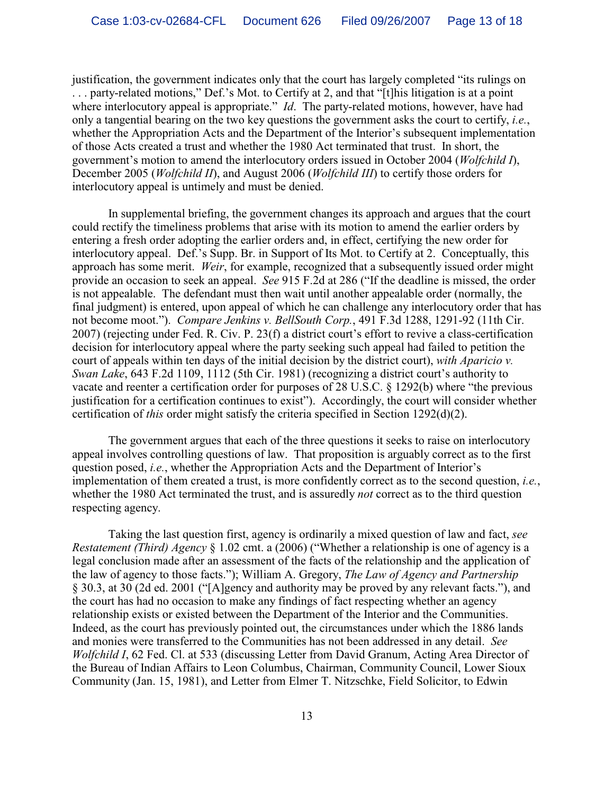justification, the government indicates only that the court has largely completed "its rulings on . . . party-related motions," Def.'s Mot. to Certify at 2, and that "[t]his litigation is at a point where interlocutory appeal is appropriate." *Id*. The party-related motions, however, have had only a tangential bearing on the two key questions the government asks the court to certify, *i.e.*, whether the Appropriation Acts and the Department of the Interior's subsequent implementation of those Acts created a trust and whether the 1980 Act terminated that trust. In short, the government's motion to amend the interlocutory orders issued in October 2004 (*Wolfchild I*), December 2005 (*Wolfchild II*), and August 2006 (*Wolfchild III*) to certify those orders for interlocutory appeal is untimely and must be denied.

In supplemental briefing, the government changes its approach and argues that the court could rectify the timeliness problems that arise with its motion to amend the earlier orders by entering a fresh order adopting the earlier orders and, in effect, certifying the new order for interlocutory appeal. Def.'s Supp. Br. in Support of Its Mot. to Certify at 2. Conceptually, this approach has some merit. *Weir*, for example, recognized that a subsequently issued order might provide an occasion to seek an appeal. *See* 915 F.2d at 286 ("If the deadline is missed, the order is not appealable. The defendant must then wait until another appealable order (normally, the final judgment) is entered, upon appeal of which he can challenge any interlocutory order that has not become moot."). *Compare Jenkins v. BellSouth Corp.*, 491 F.3d 1288, 1291-92 (11th Cir. 2007) (rejecting under Fed. R. Civ. P. 23(f) a district court's effort to revive a class-certification decision for interlocutory appeal where the party seeking such appeal had failed to petition the court of appeals within ten days of the initial decision by the district court), *with Aparicio v. Swan Lake*, 643 F.2d 1109, 1112 (5th Cir. 1981) (recognizing a district court's authority to vacate and reenter a certification order for purposes of 28 U.S.C. § 1292(b) where "the previous justification for a certification continues to exist"). Accordingly, the court will consider whether certification of *this* order might satisfy the criteria specified in Section 1292(d)(2).

The government argues that each of the three questions it seeks to raise on interlocutory appeal involves controlling questions of law. That proposition is arguably correct as to the first question posed, *i.e.*, whether the Appropriation Acts and the Department of Interior's implementation of them created a trust, is more confidently correct as to the second question, *i.e.*, whether the 1980 Act terminated the trust, and is assuredly *not* correct as to the third question respecting agency.

Taking the last question first, agency is ordinarily a mixed question of law and fact, *see Restatement (Third) Agency* § 1.02 cmt. a (2006) ("Whether a relationship is one of agency is a legal conclusion made after an assessment of the facts of the relationship and the application of the law of agency to those facts."); William A. Gregory, *The Law of Agency and Partnership* § 30.3, at 30 (2d ed. 2001 ("[A]gency and authority may be proved by any relevant facts."), and the court has had no occasion to make any findings of fact respecting whether an agency relationship exists or existed between the Department of the Interior and the Communities. Indeed, as the court has previously pointed out, the circumstances under which the 1886 lands and monies were transferred to the Communities has not been addressed in any detail. *See Wolfchild I*, 62 Fed. Cl. at 533 (discussing Letter from David Granum, Acting Area Director of the Bureau of Indian Affairs to Leon Columbus, Chairman, Community Council, Lower Sioux Community (Jan. 15, 1981), and Letter from Elmer T. Nitzschke, Field Solicitor, to Edwin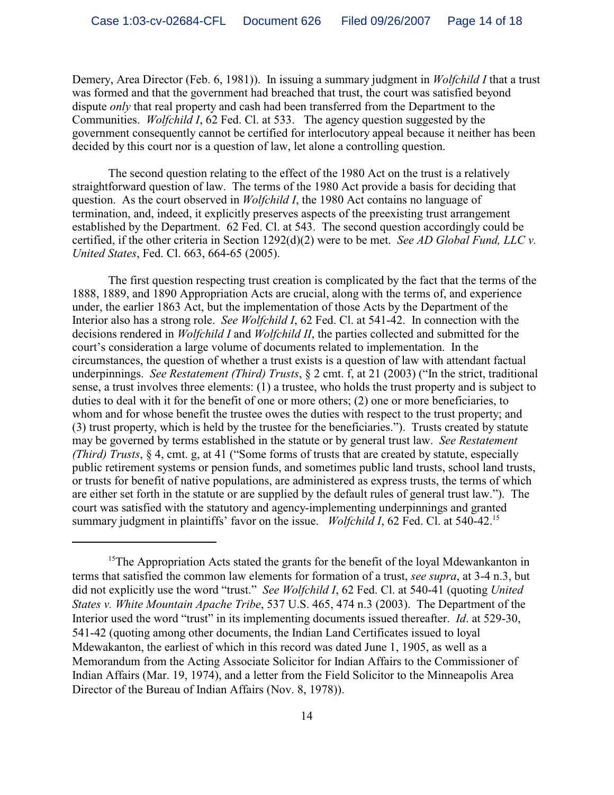Demery, Area Director (Feb. 6, 1981)). In issuing a summary judgment in *Wolfchild I* that a trust was formed and that the government had breached that trust, the court was satisfied beyond dispute *only* that real property and cash had been transferred from the Department to the Communities. *Wolfchild I*, 62 Fed. Cl. at 533. The agency question suggested by the government consequently cannot be certified for interlocutory appeal because it neither has been decided by this court nor is a question of law, let alone a controlling question.

The second question relating to the effect of the 1980 Act on the trust is a relatively straightforward question of law. The terms of the 1980 Act provide a basis for deciding that question. As the court observed in *Wolfchild I*, the 1980 Act contains no language of termination, and, indeed, it explicitly preserves aspects of the preexisting trust arrangement established by the Department. 62 Fed. Cl. at 543. The second question accordingly could be certified, if the other criteria in Section 1292(d)(2) were to be met. *See AD Global Fund, LLC v. United States*, Fed. Cl. 663, 664-65 (2005).

The first question respecting trust creation is complicated by the fact that the terms of the 1888, 1889, and 1890 Appropriation Acts are crucial, along with the terms of, and experience under, the earlier 1863 Act, but the implementation of those Acts by the Department of the Interior also has a strong role. *See Wolfchild I*, 62 Fed. Cl. at 541-42. In connection with the decisions rendered in *Wolfchild I* and *Wolfchild II*, the parties collected and submitted for the court's consideration a large volume of documents related to implementation. In the circumstances, the question of whether a trust exists is a question of law with attendant factual underpinnings. *See Restatement (Third) Trusts*, § 2 cmt. f, at 21 (2003) ("In the strict, traditional sense, a trust involves three elements: (1) a trustee, who holds the trust property and is subject to duties to deal with it for the benefit of one or more others; (2) one or more beneficiaries, to whom and for whose benefit the trustee owes the duties with respect to the trust property; and (3) trust property, which is held by the trustee for the beneficiaries."). Trusts created by statute may be governed by terms established in the statute or by general trust law. *See Restatement (Third) Trusts*, § 4, cmt. g, at 41 ("Some forms of trusts that are created by statute, especially public retirement systems or pension funds, and sometimes public land trusts, school land trusts, or trusts for benefit of native populations, are administered as express trusts, the terms of which are either set forth in the statute or are supplied by the default rules of general trust law."). The court was satisfied with the statutory and agency-implementing underpinnings and granted summary judgment in plaintiffs' favor on the issue. *Wolfchild I*, 62 Fed. Cl. at 540-42.<sup>15</sup>

 $15$ The Appropriation Acts stated the grants for the benefit of the loyal Mdewankanton in terms that satisfied the common law elements for formation of a trust, *see supra*, at 3-4 n.3, but did not explicitly use the word "trust." *See Wolfchild I*, 62 Fed. Cl. at 540-41 (quoting *United States v. White Mountain Apache Tribe*, 537 U.S. 465, 474 n.3 (2003). The Department of the Interior used the word "trust" in its implementing documents issued thereafter. *Id*. at 529-30, 541-42 (quoting among other documents, the Indian Land Certificates issued to loyal Mdewakanton, the earliest of which in this record was dated June 1, 1905, as well as a Memorandum from the Acting Associate Solicitor for Indian Affairs to the Commissioner of Indian Affairs (Mar. 19, 1974), and a letter from the Field Solicitor to the Minneapolis Area Director of the Bureau of Indian Affairs (Nov. 8, 1978)).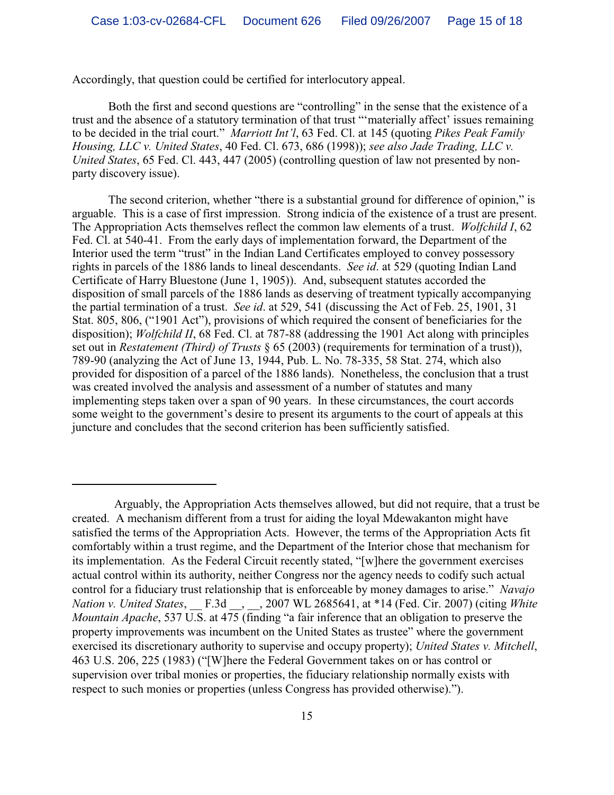Accordingly, that question could be certified for interlocutory appeal.

Both the first and second questions are "controlling" in the sense that the existence of a trust and the absence of a statutory termination of that trust "'materially affect' issues remaining to be decided in the trial court." *Marriott Int'l*, 63 Fed. Cl. at 145 (quoting *Pikes Peak Family Housing, LLC v. United States*, 40 Fed. Cl. 673, 686 (1998)); *see also Jade Trading, LLC v. United States*, 65 Fed. Cl. 443, 447 (2005) (controlling question of law not presented by nonparty discovery issue).

The second criterion, whether "there is a substantial ground for difference of opinion," is arguable. This is a case of first impression. Strong indicia of the existence of a trust are present. The Appropriation Acts themselves reflect the common law elements of a trust. *Wolfchild I*, 62 Fed. Cl. at 540-41. From the early days of implementation forward, the Department of the Interior used the term "trust" in the Indian Land Certificates employed to convey possessory rights in parcels of the 1886 lands to lineal descendants. *See id*. at 529 (quoting Indian Land Certificate of Harry Bluestone (June 1, 1905)). And, subsequent statutes accorded the disposition of small parcels of the 1886 lands as deserving of treatment typically accompanying the partial termination of a trust. *See id*. at 529, 541 (discussing the Act of Feb. 25, 1901, 31 Stat. 805, 806, ("1901 Act"), provisions of which required the consent of beneficiaries for the disposition); *Wolfchild II*, 68 Fed. Cl. at 787-88 (addressing the 1901 Act along with principles set out in *Restatement (Third) of Trusts* § 65 (2003) (requirements for termination of a trust)), 789-90 (analyzing the Act of June 13, 1944, Pub. L. No. 78-335, 58 Stat. 274, which also provided for disposition of a parcel of the 1886 lands). Nonetheless, the conclusion that a trust was created involved the analysis and assessment of a number of statutes and many implementing steps taken over a span of 90 years. In these circumstances, the court accords some weight to the government's desire to present its arguments to the court of appeals at this juncture and concludes that the second criterion has been sufficiently satisfied.

Arguably, the Appropriation Acts themselves allowed, but did not require, that a trust be created. A mechanism different from a trust for aiding the loyal Mdewakanton might have satisfied the terms of the Appropriation Acts. However, the terms of the Appropriation Acts fit comfortably within a trust regime, and the Department of the Interior chose that mechanism for its implementation. As the Federal Circuit recently stated, "[w]here the government exercises actual control within its authority, neither Congress nor the agency needs to codify such actual control for a fiduciary trust relationship that is enforceable by money damages to arise." *Navajo Nation v. United States*, \_\_ F.3d \_\_, \_\_, 2007 WL 2685641, at \*14 (Fed. Cir. 2007) (citing *White Mountain Apache*, 537 U.S. at 475 (finding "a fair inference that an obligation to preserve the property improvements was incumbent on the United States as trustee" where the government exercised its discretionary authority to supervise and occupy property); *United States v. Mitchell*, 463 U.S. 206, 225 (1983) ("[W]here the Federal Government takes on or has control or supervision over tribal monies or properties, the fiduciary relationship normally exists with respect to such monies or properties (unless Congress has provided otherwise).").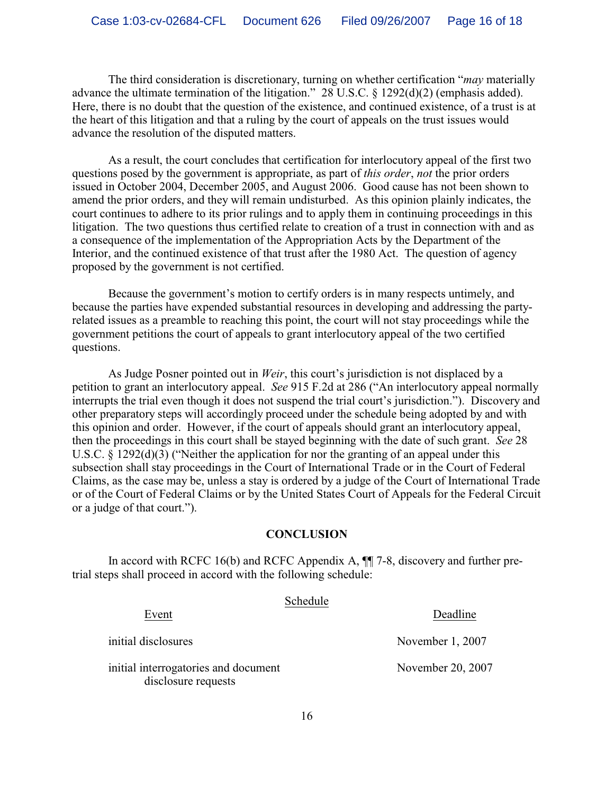The third consideration is discretionary, turning on whether certification "*may* materially advance the ultimate termination of the litigation." 28 U.S.C. § 1292(d)(2) (emphasis added). Here, there is no doubt that the question of the existence, and continued existence, of a trust is at the heart of this litigation and that a ruling by the court of appeals on the trust issues would advance the resolution of the disputed matters.

As a result, the court concludes that certification for interlocutory appeal of the first two questions posed by the government is appropriate, as part of *this order*, *not* the prior orders issued in October 2004, December 2005, and August 2006. Good cause has not been shown to amend the prior orders, and they will remain undisturbed. As this opinion plainly indicates, the court continues to adhere to its prior rulings and to apply them in continuing proceedings in this litigation. The two questions thus certified relate to creation of a trust in connection with and as a consequence of the implementation of the Appropriation Acts by the Department of the Interior, and the continued existence of that trust after the 1980 Act. The question of agency proposed by the government is not certified.

Because the government's motion to certify orders is in many respects untimely, and because the parties have expended substantial resources in developing and addressing the partyrelated issues as a preamble to reaching this point, the court will not stay proceedings while the government petitions the court of appeals to grant interlocutory appeal of the two certified questions.

As Judge Posner pointed out in *Weir*, this court's jurisdiction is not displaced by a petition to grant an interlocutory appeal. *See* 915 F.2d at 286 ("An interlocutory appeal normally interrupts the trial even though it does not suspend the trial court's jurisdiction."). Discovery and other preparatory steps will accordingly proceed under the schedule being adopted by and with this opinion and order. However, if the court of appeals should grant an interlocutory appeal, then the proceedings in this court shall be stayed beginning with the date of such grant. *See* 28 U.S.C. § 1292(d)(3) ("Neither the application for nor the granting of an appeal under this subsection shall stay proceedings in the Court of International Trade or in the Court of Federal Claims, as the case may be, unless a stay is ordered by a judge of the Court of International Trade or of the Court of Federal Claims or by the United States Court of Appeals for the Federal Circuit or a judge of that court.").

#### **CONCLUSION**

In accord with RCFC 16(b) and RCFC Appendix A, ¶¶ 7-8, discovery and further pretrial steps shall proceed in accord with the following schedule:

| ochedie<br>Event                                            | Deadline          |
|-------------------------------------------------------------|-------------------|
| initial disclosures                                         | November 1, 2007  |
| initial interrogatories and document<br>disclosure requests | November 20, 2007 |

Schedule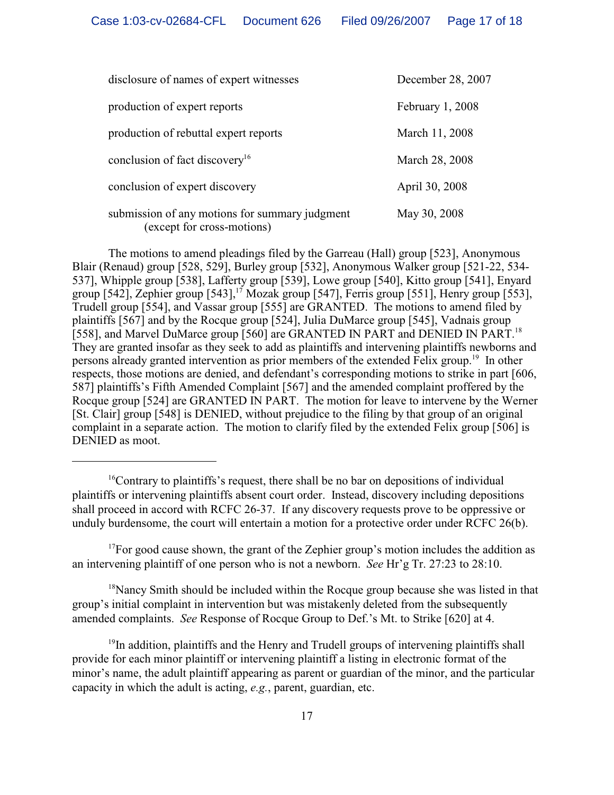| disclosure of names of expert witnesses                                      | December 28, 2007 |
|------------------------------------------------------------------------------|-------------------|
| production of expert reports                                                 | February 1, 2008  |
| production of rebuttal expert reports                                        | March 11, 2008    |
| conclusion of fact discovery <sup>16</sup>                                   | March 28, 2008    |
| conclusion of expert discovery                                               | April 30, 2008    |
| submission of any motions for summary judgment<br>(except for cross-motions) | May 30, 2008      |

The motions to amend pleadings filed by the Garreau (Hall) group [523], Anonymous Blair (Renaud) group [528, 529], Burley group [532], Anonymous Walker group [521-22, 534- 537], Whipple group [538], Lafferty group [539], Lowe group [540], Kitto group [541], Enyard group  $[542]$ , Zephier group  $[543]$ ,  $^{17}$  Mozak group  $[547]$ , Ferris group  $[551]$ , Henry group  $[553]$ , Trudell group [554], and Vassar group [555] are GRANTED. The motions to amend filed by plaintiffs [567] and by the Rocque group [524], Julia DuMarce group [545], Vadnais group [558], and Marvel DuMarce group [560] are GRANTED IN PART and DENIED IN PART.<sup>18</sup> They are granted insofar as they seek to add as plaintiffs and intervening plaintiffs newborns and persons already granted intervention as prior members of the extended Felix group.<sup>19</sup> In other respects, those motions are denied, and defendant's corresponding motions to strike in part [606, 587] plaintiffs's Fifth Amended Complaint [567] and the amended complaint proffered by the Rocque group [524] are GRANTED IN PART. The motion for leave to intervene by the Werner [St. Clair] group [548] is DENIED, without prejudice to the filing by that group of an original complaint in a separate action. The motion to clarify filed by the extended Felix group [506] is DENIED as moot.

 $^{17}$ For good cause shown, the grant of the Zephier group's motion includes the addition as an intervening plaintiff of one person who is not a newborn. *See* Hr'g Tr. 27:23 to 28:10.

 $18$ Nancy Smith should be included within the Rocque group because she was listed in that group's initial complaint in intervention but was mistakenly deleted from the subsequently amended complaints. *See* Response of Rocque Group to Def.'s Mt. to Strike [620] at 4.

 $19$ In addition, plaintiffs and the Henry and Trudell groups of intervening plaintiffs shall provide for each minor plaintiff or intervening plaintiff a listing in electronic format of the minor's name, the adult plaintiff appearing as parent or guardian of the minor, and the particular capacity in which the adult is acting, *e.g.*, parent, guardian, etc.

 $16$ Contrary to plaintiffs's request, there shall be no bar on depositions of individual plaintiffs or intervening plaintiffs absent court order. Instead, discovery including depositions shall proceed in accord with RCFC 26-37. If any discovery requests prove to be oppressive or unduly burdensome, the court will entertain a motion for a protective order under RCFC 26(b).